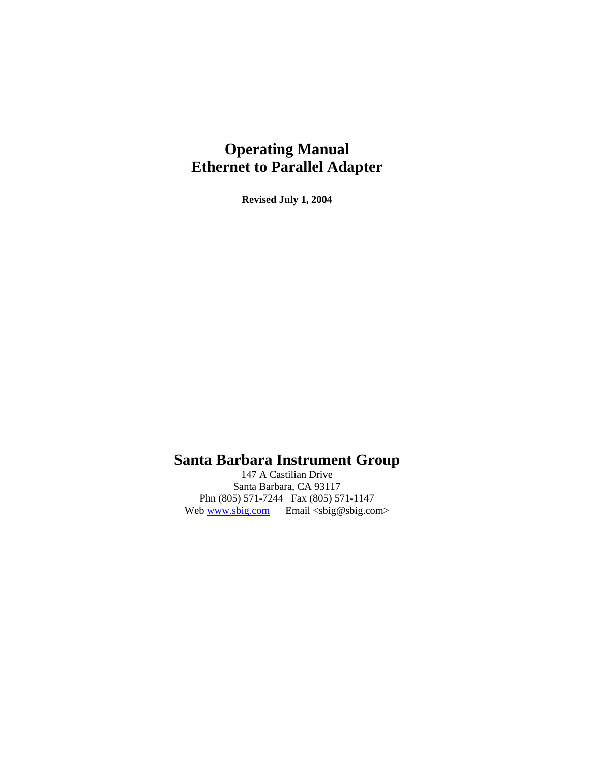# **Operating Manual Ethernet to Parallel Adapter**

**Revised July 1, 2004**

# **Santa Barbara Instrument Group**

147 A Castilian Drive Santa Barbara, CA 93117 Phn (805) 571-7244 Fax (805) 571-1147 Web  $\frac{www.sbig.com}{www.sbig.com}$  Email <sbig@sbig.com>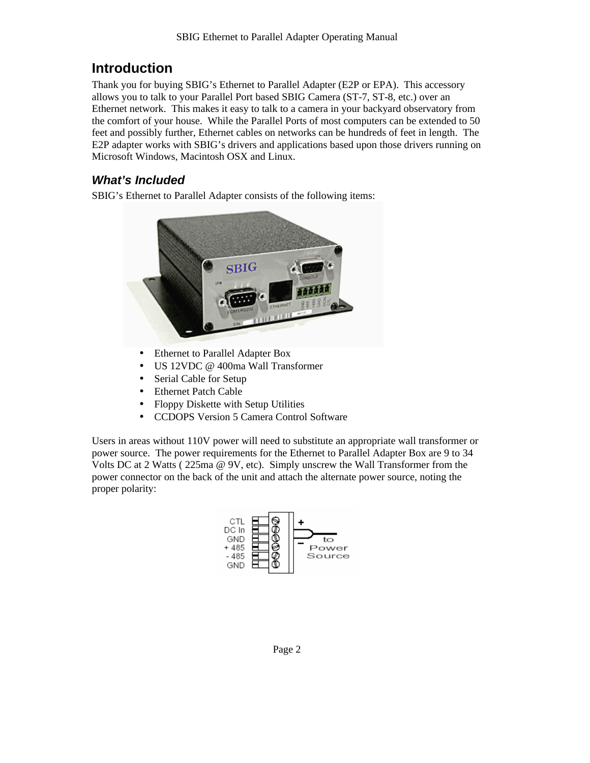## **Introduction**

Thank you for buying SBIG's Ethernet to Parallel Adapter (E2P or EPA). This accessory allows you to talk to your Parallel Port based SBIG Camera (ST-7, ST-8, etc.) over an Ethernet network. This makes it easy to talk to a camera in your backyard observatory from the comfort of your house. While the Parallel Ports of most computers can be extended to 50 feet and possibly further, Ethernet cables on networks can be hundreds of feet in length. The E2P adapter works with SBIG's drivers and applications based upon those drivers running on Microsoft Windows, Macintosh OSX and Linux.

### *What's Included*

SBIG's Ethernet to Parallel Adapter consists of the following items:



- Ethernet to Parallel Adapter Box
- US 12VDC @ 400ma Wall Transformer
- Serial Cable for Setup
- Ethernet Patch Cable
- Floppy Diskette with Setup Utilities
- CCDOPS Version 5 Camera Control Software

Users in areas without 110V power will need to substitute an appropriate wall transformer or power source. The power requirements for the Ethernet to Parallel Adapter Box are 9 to 34 Volts DC at 2 Watts ( 225ma @ 9V, etc). Simply unscrew the Wall Transformer from the power connector on the back of the unit and attach the alternate power source, noting the proper polarity:

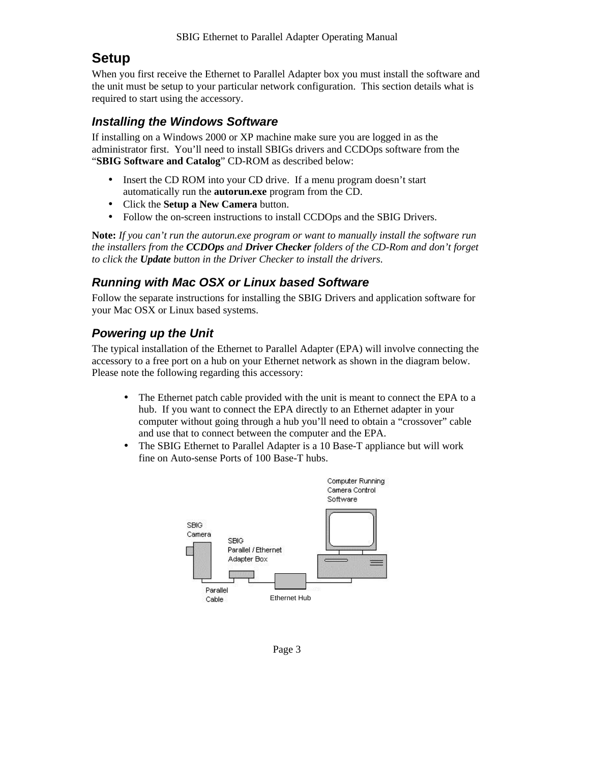### **Setup**

When you first receive the Ethernet to Parallel Adapter box you must install the software and the unit must be setup to your particular network configuration. This section details what is required to start using the accessory.

#### *Installing the Windows Software*

If installing on a Windows 2000 or XP machine make sure you are logged in as the administrator first. You'll need to install SBIGs drivers and CCDOps software from the "**SBIG Software and Catalog**" CD-ROM as described below:

- Insert the CD ROM into your CD drive. If a menu program doesn't start automatically run the **autorun.exe** program from the CD.
- Click the **Setup a New Camera** button.
- Follow the on-screen instructions to install CCDOps and the SBIG Drivers.

**Note:** *If you can't run the autorun.exe program or want to manually install the software run the installers from the CCDOps and Driver Checker folders of the CD-Rom and don't forget to click the Update button in the Driver Checker to install the drivers*.

#### *Running with Mac OSX or Linux based Software*

Follow the separate instructions for installing the SBIG Drivers and application software for your Mac OSX or Linux based systems.

#### *Powering up the Unit*

The typical installation of the Ethernet to Parallel Adapter (EPA) will involve connecting the accessory to a free port on a hub on your Ethernet network as shown in the diagram below. Please note the following regarding this accessory:

- The Ethernet patch cable provided with the unit is meant to connect the EPA to a hub. If you want to connect the EPA directly to an Ethernet adapter in your computer without going through a hub you'll need to obtain a "crossover" cable and use that to connect between the computer and the EPA.
- The SBIG Ethernet to Parallel Adapter is a 10 Base-T appliance but will work fine on Auto-sense Ports of 100 Base-T hubs.

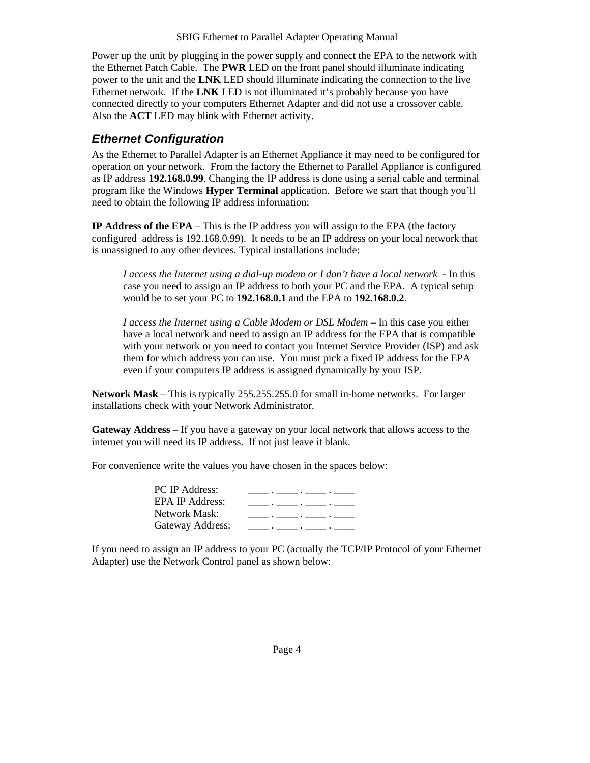Power up the unit by plugging in the power supply and connect the EPA to the network with the Ethernet Patch Cable. The **PWR** LED on the front panel should illuminate indicating power to the unit and the **LNK** LED should illuminate indicating the connection to the live Ethernet network. If the **LNK** LED is not illuminated it's probably because you have connected directly to your computers Ethernet Adapter and did not use a crossover cable. Also the **ACT** LED may blink with Ethernet activity.

#### *Ethernet Configuration*

As the Ethernet to Parallel Adapter is an Ethernet Appliance it may need to be configured for operation on your network. From the factory the Ethernet to Parallel Appliance is configured as IP address **192.168.0.99**. Changing the IP address is done using a serial cable and terminal program like the Windows **Hyper Terminal** application. Before we start that though you'll need to obtain the following IP address information:

**IP Address of the EPA** – This is the IP address you will assign to the EPA (the factory configured address is 192.168.0.99). It needs to be an IP address on your local network that is unassigned to any other devices. Typical installations include:

*I access the Internet using a dial-up modem or I don't have a local network* - In this case you need to assign an IP address to both your PC and the EPA. A typical setup would be to set your PC to **192.168.0.1** and the EPA to **192.168.0.2**.

*I access the Internet using a Cable Modem or DSL Modem* – In this case you either have a local network and need to assign an IP address for the EPA that is compatible with your network or you need to contact you Internet Service Provider (ISP) and ask them for which address you can use. You must pick a fixed IP address for the EPA even if your computers IP address is assigned dynamically by your ISP.

**Network Mask** – This is typically 255.255.255.0 for small in-home networks. For larger installations check with your Network Administrator.

**Gateway Address** – If you have a gateway on your local network that allows access to the internet you will need its IP address. If not just leave it blank.

For convenience write the values you have chosen in the spaces below:

| <b>PC IP Address:</b>  |                                                                                 |
|------------------------|---------------------------------------------------------------------------------|
| <b>EPA IP Address:</b> | the contract of the contract of the contract of the contract of the contract of |
| Network Mask:          | the contract of the contract of the contract of the contract of the contract of |
| Gateway Address:       | the contract of the contract of the contract of the contract of the contract of |

If you need to assign an IP address to your PC (actually the TCP/IP Protocol of your Ethernet Adapter) use the Network Control panel as shown below: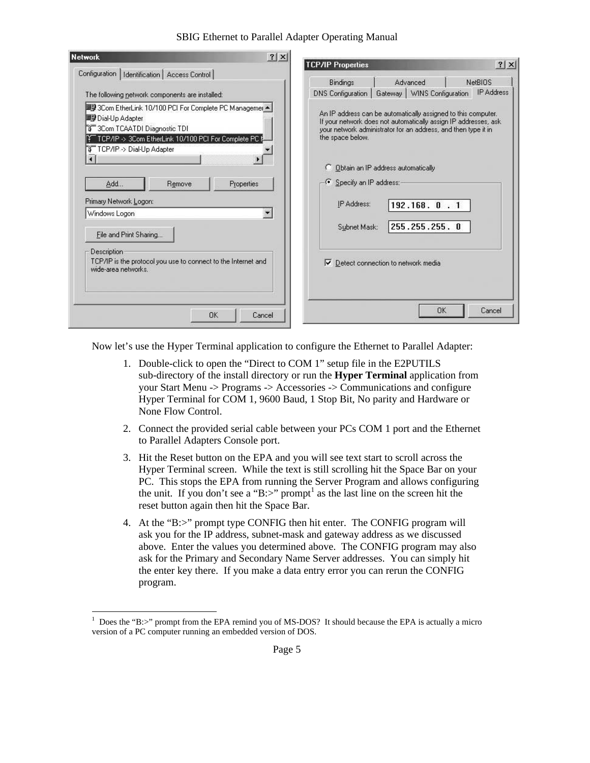#### SBIG Ethernet to Parallel Adapter Operating Manual

| ? X <br><b>Network</b>                                                                                                                                                                                                                                            | <b>TCP/IP Properties</b>                                                                                                                                                                                                                                                                    |                              | ? X               |
|-------------------------------------------------------------------------------------------------------------------------------------------------------------------------------------------------------------------------------------------------------------------|---------------------------------------------------------------------------------------------------------------------------------------------------------------------------------------------------------------------------------------------------------------------------------------------|------------------------------|-------------------|
| Configuration   Identification   Access Control                                                                                                                                                                                                                   |                                                                                                                                                                                                                                                                                             |                              |                   |
|                                                                                                                                                                                                                                                                   | <b>Bindings</b>                                                                                                                                                                                                                                                                             | Advanced                     | <b>NetBIOS</b>    |
| The following network components are installed:                                                                                                                                                                                                                   | DNS Configuration                                                                                                                                                                                                                                                                           | Gateway   WINS Configuration | <b>IP Address</b> |
| ■   3Com EtherLink 10/100 PCI For Complete PC Managemer ▲  <br>■ Dial-Up Adapter<br>ชี 3Com TCAATDI Diagnostic TDI<br>TCP/IP -> 3Com EtherLink 10/100 PCI For Complete PC f<br>TCP/IP >> Dial-Up Adapter<br>Properties<br>Add<br>Remove<br>Primary Network Logon: | An IP address can be automatically assigned to this computer.<br>If your network does not automatically assign IP addresses, ask<br>your network administrator for an address, and then type it in<br>the space below.<br>Obtain an IP address automatically<br>O<br>Specify an IP address: |                              |                   |
| Windows Logon                                                                                                                                                                                                                                                     | IP Address:                                                                                                                                                                                                                                                                                 | $192.168.0$ . 1              |                   |
| File and Print Sharing                                                                                                                                                                                                                                            | Subnet Mask:                                                                                                                                                                                                                                                                                | 255.255.255.0                |                   |
| Description<br>TCP/IP is the protocol you use to connect to the Internet and<br>wide-area networks.<br><b>OK</b><br>Cancel                                                                                                                                        | Detect connection to network media<br>⊽                                                                                                                                                                                                                                                     | OK                           | Cancel            |

Now let's use the Hyper Terminal application to configure the Ethernet to Parallel Adapter:

- 1. Double-click to open the "Direct to COM 1" setup file in the E2PUTILS sub-directory of the install directory or run the **Hyper Terminal** application from your Start Menu -> Programs -> Accessories -> Communications and configure Hyper Terminal for COM 1, 9600 Baud, 1 Stop Bit, No parity and Hardware or None Flow Control.
- 2. Connect the provided serial cable between your PCs COM 1 port and the Ethernet to Parallel Adapters Console port.
- 3. Hit the Reset button on the EPA and you will see text start to scroll across the Hyper Terminal screen. While the text is still scrolling hit the Space Bar on your PC. This stops the EPA from running the Server Program and allows configuring the unit. If you don't see a "B:>" prompt<sup>1</sup> as the last line on the screen hit the reset button again then hit the Space Bar.
- 4. At the "B:>" prompt type CONFIG then hit enter. The CONFIG program will ask you for the IP address, subnet-mask and gateway address as we discussed above. Enter the values you determined above. The CONFIG program may also ask for the Primary and Secondary Name Server addresses. You can simply hit the enter key there. If you make a data entry error you can rerun the CONFIG program.

l

<sup>1</sup> Does the "B:>" prompt from the EPA remind you of MS-DOS? It should because the EPA is actually a micro version of a PC computer running an embedded version of DOS.